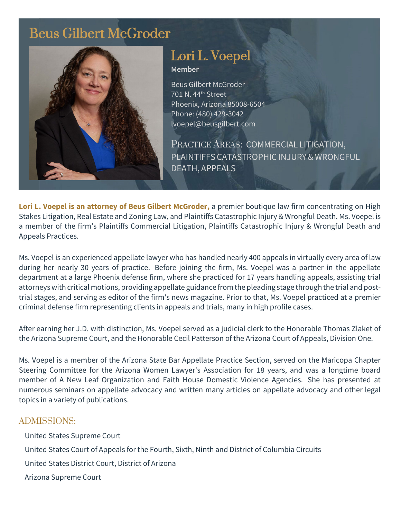# Beus Gilbert McGroder



# Lori L. Voepel **Member**

Beus Gilbert McGroder 701 N. 44th Street Phoenix, Arizona 85008-6504 Phone: (480) 429-3042 lvoepel@beusgilbert.com

PRACTICE AREAS: COMMERCIAL LITIGATION, PLAINTIFFS CATASTROPHIC INJURY & WRONGFUL DEATH, APPEALS

**Lori L. Voepel is an attorney of Beus Gilbert McGroder,** a premier boutique law firm concentrating on High Stakes Litigation, Real Estate and Zoning Law, and Plaintiffs Catastrophic Injury & Wrongful Death. Ms. Voepel is a member of the firm's Plaintiffs Commercial Litigation, Plaintiffs Catastrophic Injury & Wrongful Death and Appeals Practices.

Ms. Voepel is an experienced appellate lawyer who has handled nearly 400 appeals in virtually every area of law during her nearly 30 years of practice. Before joining the firm, Ms. Voepel was a partner in the appellate department at a large Phoenix defense firm, where she practiced for 17 years handling appeals, assisting trial attorneys with critical motions, providing appellate guidance from the pleading stage through the trial and posttrial stages, and serving as editor of the firm's news magazine. Prior to that, Ms. Voepel practiced at a premier criminal defense firm representing clients in appeals and trials, many in high profile cases.

After earning her J.D. with distinction, Ms. Voepel served as a judicial clerk to the Honorable Thomas Zlaket of the Arizona Supreme Court, and the Honorable Cecil Patterson of the Arizona Court of Appeals, Division One.

Ms. Voepel is a member of the Arizona State Bar Appellate Practice Section, served on the Maricopa Chapter Steering Committee for the Arizona Women Lawyer's Association for 18 years, and was a longtime board member of A New Leaf Organization and Faith House Domestic Violence Agencies. She has presented at numerous seminars on appellate advocacy and written many articles on appellate advocacy and other legal topics in a variety of publications.

## ADMISSIONS:

United States Supreme Court United States Court of Appeals for the Fourth, Sixth, Ninth and District of Columbia Circuits United States District Court, District of Arizona Arizona Supreme Court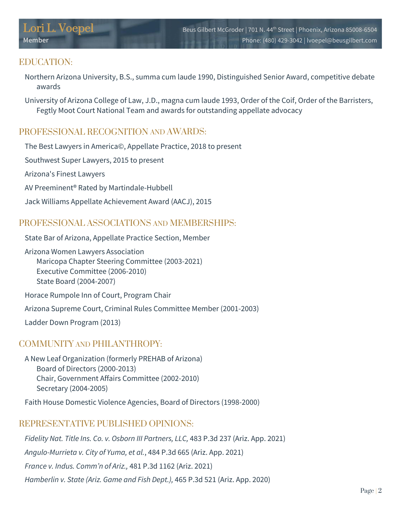# EDUCATION:

- Northern Arizona University, B.S., summa cum laude 1990, Distinguished Senior Award, competitive debate awards
- University of Arizona College of Law, J.D., magna cum laude 1993, Order of the Coif, Order of the Barristers, Fegtly Moot Court National Team and awards for outstanding appellate advocacy

# PROFESSIONAL RECOGNITION AND AWARDS:

The Best Lawyers in America©, Appellate Practice, 2018 to present

Southwest Super Lawyers, 2015 to present

Arizona's Finest Lawyers

AV Preeminent® Rated by Martindale-Hubbell

Jack Williams Appellate Achievement Award (AACJ), 2015

## PROFESSIONAL ASSOCIATIONS AND MEMBERSHIPS:

State Bar of Arizona, Appellate Practice Section, Member

Arizona Women Lawyers Association Maricopa Chapter Steering Committee (2003-2021) Executive Committee (2006-2010) State Board (2004-2007)

Horace Rumpole Inn of Court, Program Chair

Arizona Supreme Court, Criminal Rules Committee Member (2001-2003)

Ladder Down Program (2013)

#### COMMUNITY AND PHILANTHROPY.

A New Leaf Organization (formerly PREHAB of Arizona) Board of Directors (2000-2013) Chair, Government Affairs Committee (2002-2010) Secretary (2004-2005)

Faith House Domestic Violence Agencies, Board of Directors (1998-2000)

## REPRESENTATIVE PUBLISHED OPINIONS:

*Fidelity Nat. Title Ins. Co. v. Osborn III Partners, LLC,* 483 P.3d 237 (Ariz. App. 2021)

*Angulo-Murrieta v. City of Yuma, et al.*, 484 P.3d 665 (Ariz. App. 2021)

*France v. Indus. Comm'n of Ariz.,* 481 P.3d 1162 (Ariz. 2021)

*Hamberlin v. State (Ariz. Game and Fish Dept.),* 465 P.3d 521 (Ariz. App. 2020)